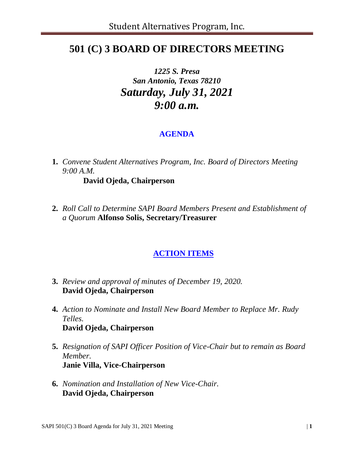# **501 (C) 3 BOARD OF DIRECTORS MEETING**

*1225 S. Presa San Antonio, Texas 78210 Saturday, July 31, 2021 9:00 a.m.*

### **AGENDA**

**1.** *Convene Student Alternatives Program, Inc. Board of Directors Meeting 9:00 A.M.*

#### **David Ojeda, Chairperson**

**2.** *Roll Call to Determine SAPI Board Members Present and Establishment of a Quorum* **Alfonso Solis, Secretary/Treasurer**

### **ACTION ITEMS**

- **3.** *Review and approval of minutes of December 19, 2020.* **David Ojeda, Chairperson**
- **4.** *Action to Nominate and Install New Board Member to Replace Mr. Rudy Telles.* **David Ojeda, Chairperson**
- **5.** *Resignation of SAPI Officer Position of Vice-Chair but to remain as Board Member.* **Janie Villa, Vice-Chairperson**
- **6.** *Nomination and Installation of New Vice-Chair.* **David Ojeda, Chairperson**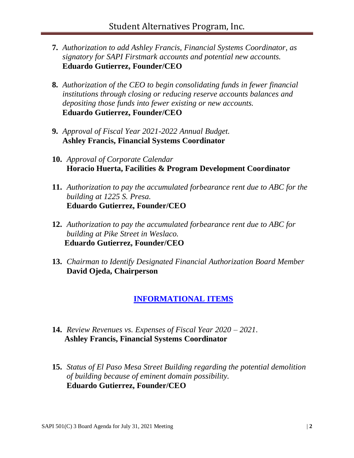- **7.** *Authorization to add Ashley Francis, Financial Systems Coordinator, as signatory for SAPI Firstmark accounts and potential new accounts.*  **Eduardo Gutierrez, Founder/CEO**
- **8.** *Authorization of the CEO to begin consolidating funds in fewer financial institutions through closing or reducing reserve accounts balances and depositing those funds into fewer existing or new accounts.*  **Eduardo Gutierrez, Founder/CEO**
- **9.** *Approval of Fiscal Year 2021-2022 Annual Budget.* **Ashley Francis, Financial Systems Coordinator**
- **10.** *Approval of Corporate Calendar*  **Horacio Huerta, Facilities & Program Development Coordinator**
- **11.** *Authorization to pay the accumulated forbearance rent due to ABC for the building at 1225 S. Presa.*  **Eduardo Gutierrez, Founder/CEO**
- **12.** *Authorization to pay the accumulated forbearance rent due to ABC for building at Pike Street in Weslaco.* **Eduardo Gutierrez, Founder/CEO**
- **13.** *Chairman to Identify Designated Financial Authorization Board Member*  **David Ojeda, Chairperson**

## **INFORMATIONAL ITEMS**

- **14.** *Review Revenues vs. Expenses of Fiscal Year 2020 – 2021*. **Ashley Francis, Financial Systems Coordinator**
- **15.** *Status of El Paso Mesa Street Building regarding the potential demolition of building because of eminent domain possibility.*  **Eduardo Gutierrez, Founder/CEO**